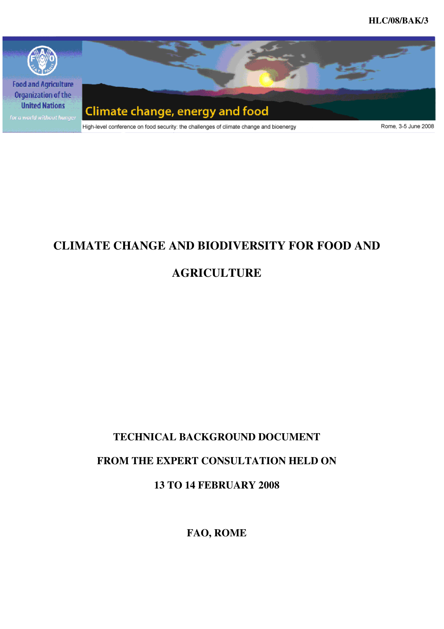**HLC/08/BAK/3** 



# **CLIMATE CHANGE AND BIODIVERSITY FOR FOOD AND**

# **AGRICULTURE**

# **TECHNICAL BACKGROUND DOCUMENT**

# **FROM THE EXPERT CONSULTATION HELD ON**

# **13 TO 14 FEBRUARY 2008**

**FAO, ROME**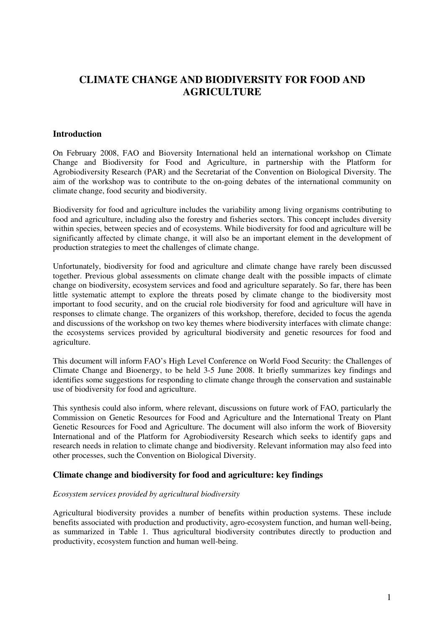# **CLIMATE CHANGE AND BIODIVERSITY FOR FOOD AND AGRICULTURE**

# **Introduction**

On February 2008, FAO and Bioversity International held an international workshop on Climate Change and Biodiversity for Food and Agriculture, in partnership with the Platform for Agrobiodiversity Research (PAR) and the Secretariat of the Convention on Biological Diversity. The aim of the workshop was to contribute to the on-going debates of the international community on climate change, food security and biodiversity.

Biodiversity for food and agriculture includes the variability among living organisms contributing to food and agriculture, including also the forestry and fisheries sectors. This concept includes diversity within species, between species and of ecosystems. While biodiversity for food and agriculture will be significantly affected by climate change, it will also be an important element in the development of production strategies to meet the challenges of climate change.

Unfortunately, biodiversity for food and agriculture and climate change have rarely been discussed together. Previous global assessments on climate change dealt with the possible impacts of climate change on biodiversity, ecosystem services and food and agriculture separately. So far, there has been little systematic attempt to explore the threats posed by climate change to the biodiversity most important to food security, and on the crucial role biodiversity for food and agriculture will have in responses to climate change. The organizers of this workshop, therefore, decided to focus the agenda and discussions of the workshop on two key themes where biodiversity interfaces with climate change: the ecosystems services provided by agricultural biodiversity and genetic resources for food and agriculture.

This document will inform FAO's High Level Conference on World Food Security: the Challenges of Climate Change and Bioenergy, to be held 3-5 June 2008. It briefly summarizes key findings and identifies some suggestions for responding to climate change through the conservation and sustainable use of biodiversity for food and agriculture.

This synthesis could also inform, where relevant, discussions on future work of FAO, particularly the Commission on Genetic Resources for Food and Agriculture and the International Treaty on Plant Genetic Resources for Food and Agriculture. The document will also inform the work of Bioversity International and of the Platform for Agrobiodiversity Research which seeks to identify gaps and research needs in relation to climate change and biodiversity. Relevant information may also feed into other processes, such the Convention on Biological Diversity.

# **Climate change and biodiversity for food and agriculture: key findings**

#### *Ecosystem services provided by agricultural biodiversity*

Agricultural biodiversity provides a number of benefits within production systems. These include benefits associated with production and productivity, agro-ecosystem function, and human well-being, as summarized in Table 1. Thus agricultural biodiversity contributes directly to production and productivity, ecosystem function and human well-being.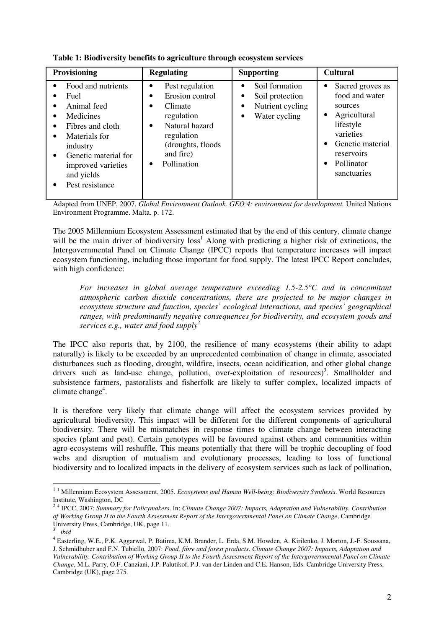| <b>Provisioning</b>                                                                                                                                                                                                                                                  | <b>Regulating</b>                                                                                                                                                                         | <b>Supporting</b>                                                                                          | <b>Cultural</b>                                                                                                                                        |  |  |
|----------------------------------------------------------------------------------------------------------------------------------------------------------------------------------------------------------------------------------------------------------------------|-------------------------------------------------------------------------------------------------------------------------------------------------------------------------------------------|------------------------------------------------------------------------------------------------------------|--------------------------------------------------------------------------------------------------------------------------------------------------------|--|--|
| Food and nutrients<br>$\bullet$<br>Fuel<br>Animal feed<br>$\bullet$<br>Medicines<br>$\bullet$<br>Fibres and cloth<br>$\bullet$<br>Materials for<br>$\bullet$<br>industry<br>Genetic material for<br>$\bullet$<br>improved varieties<br>and yields<br>Pest resistance | Pest regulation<br>Erosion control<br>٠<br>Climate<br>$\bullet$<br>regulation<br>Natural hazard<br>$\bullet$<br>regulation<br>(droughts, floods)<br>and fire)<br>Pollination<br>$\bullet$ | Soil formation<br>$\bullet$<br>Soil protection<br>٠<br>Nutrient cycling<br>٠<br>Water cycling<br>$\bullet$ | Sacred groves as<br>food and water<br>sources<br>Agricultural<br>lifestyle<br>varieties<br>Genetic material<br>reservoirs<br>Pollinator<br>sanctuaries |  |  |

**Table 1: Biodiversity benefits to agriculture through ecosystem services** 

Adapted from UNEP, 2007. *Global Environment Outlook. GEO 4: environment for development.* United Nations Environment Programme. Malta. p. 172.

The 2005 Millennium Ecosystem Assessment estimated that by the end of this century, climate change will be the main driver of biodiversity loss<sup>1</sup> Along with predicting a higher risk of extinctions, the Intergovernmental Panel on Climate Change (IPCC) reports that temperature increases will impact ecosystem functioning, including those important for food supply. The latest IPCC Report concludes, with high confidence:

*For increases in global average temperature exceeding 1.5-2.5°C and in concomitant atmospheric carbon dioxide concentrations, there are projected to be major changes in ecosystem structure and function, species' ecological interactions, and species' geographical ranges, with predominantly negative consequences for biodiversity, and ecosystem goods and services e.g., water and food supply<sup>2</sup>* 

The IPCC also reports that, by 2100, the resilience of many ecosystems (their ability to adapt naturally) is likely to be exceeded by an unprecedented combination of change in climate, associated disturbances such as flooding, drought, wildfire, insects, ocean acidification, and other global change drivers such as land-use change, pollution, over-exploitation of resources)<sup>3</sup>. Smallholder and subsistence farmers, pastoralists and fisherfolk are likely to suffer complex, localized impacts of climate change<sup>4</sup>.

It is therefore very likely that climate change will affect the ecosystem services provided by agricultural biodiversity. This impact will be different for the different components of agricultural biodiversity. There will be mismatches in response times to climate change between interacting species (plant and pest). Certain genotypes will be favoured against others and communities within agro-ecosystems will reshuffle. This means potentially that there will be trophic decoupling of food webs and disruption of mutualism and evolutionary processes, leading to loss of functional biodiversity and to localized impacts in the delivery of ecosystem services such as lack of pollination,

 1 1 Millennium Ecosystem Assessment, 2005. *Ecosystems and Human Well-being: Biodiversity Synthesis*. World Resources

Institute, Washington, DC 2 4 IPCC, 2007: *Summary for Policymakers*. In: *Climate Change 2007: Impacts, Adaptation and Vulnerability. Contribution of Working Group II to the Fourth Assessment Report of the Intergovernmental Panel on Climate Change*, Cambridge University Press, Cambridge, UK, page 11.

<sup>&</sup>lt;sup>3</sup> . *ibid*<br><sup>4</sup> Easterling, W.E., P.K. Aggarwal, P. Batima, K.M. Brander, L. Erda, S.M. Howden, A. Kirilenko, J. Morton, J.-F. Soussana, J. Schmidhuber and F.N. Tubiello, 2007: *Food, fibre and forest products*. *Climate Change 2007: Impacts, Adaptation and Vulnerability. Contribution of Working Group II to the Fourth Assessment Report of the Intergovernmental Panel on Climate Change*, M.L. Parry, O.F. Canziani, J.P. Palutikof, P.J. van der Linden and C.E. Hanson, Eds. Cambridge University Press, Cambridge (UK), page 275.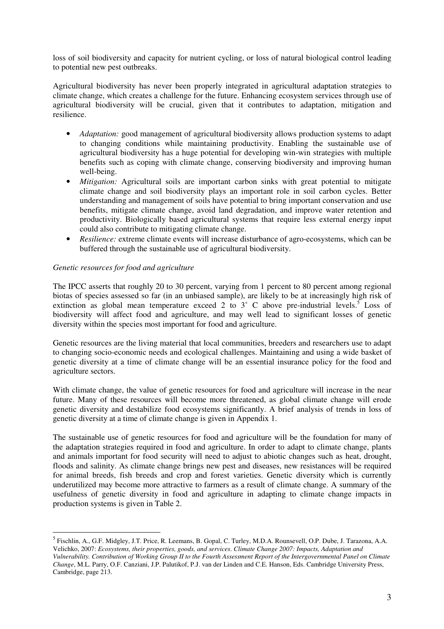loss of soil biodiversity and capacity for nutrient cycling, or loss of natural biological control leading to potential new pest outbreaks.

Agricultural biodiversity has never been properly integrated in agricultural adaptation strategies to climate change, which creates a challenge for the future. Enhancing ecosystem services through use of agricultural biodiversity will be crucial, given that it contributes to adaptation, mitigation and resilience.

- *Adaptation:* good management of agricultural biodiversity allows production systems to adapt to changing conditions while maintaining productivity. Enabling the sustainable use of agricultural biodiversity has a huge potential for developing win-win strategies with multiple benefits such as coping with climate change, conserving biodiversity and improving human well-being.
- *Mitigation:* Agricultural soils are important carbon sinks with great potential to mitigate climate change and soil biodiversity plays an important role in soil carbon cycles. Better understanding and management of soils have potential to bring important conservation and use benefits, mitigate climate change, avoid land degradation, and improve water retention and productivity. Biologically based agricultural systems that require less external energy input could also contribute to mitigating climate change.
- *Resilience:* extreme climate events will increase disturbance of agro-ecosystems, which can be buffered through the sustainable use of agricultural biodiversity.

#### *Genetic resources for food and agriculture*

 $\overline{a}$ 

The IPCC asserts that roughly 20 to 30 percent, varying from 1 percent to 80 percent among regional biotas of species assessed so far (in an unbiased sample), are likely to be at increasingly high risk of extinction as global mean temperature exceed 2 to  $3^\circ$  C above pre-industrial levels.<sup>5</sup> Loss of biodiversity will affect food and agriculture, and may well lead to significant losses of genetic diversity within the species most important for food and agriculture.

Genetic resources are the living material that local communities, breeders and researchers use to adapt to changing socio-economic needs and ecological challenges. Maintaining and using a wide basket of genetic diversity at a time of climate change will be an essential insurance policy for the food and agriculture sectors.

With climate change, the value of genetic resources for food and agriculture will increase in the near future. Many of these resources will become more threatened, as global climate change will erode genetic diversity and destabilize food ecosystems significantly. A brief analysis of trends in loss of genetic diversity at a time of climate change is given in Appendix 1.

The sustainable use of genetic resources for food and agriculture will be the foundation for many of the adaptation strategies required in food and agriculture. In order to adapt to climate change, plants and animals important for food security will need to adjust to abiotic changes such as heat, drought, floods and salinity. As climate change brings new pest and diseases, new resistances will be required for animal breeds, fish breeds and crop and forest varieties. Genetic diversity which is currently underutilized may become more attractive to farmers as a result of climate change. A summary of the usefulness of genetic diversity in food and agriculture in adapting to climate change impacts in production systems is given in Table 2.

<sup>&</sup>lt;sup>5</sup> Fischlin, A., G.F. Midgley, J.T. Price, R. Leemans, B. Gopal, C. Turley, M.D.A. Rounsevell, O.P. Dube, J. Tarazona, A.A. Velichko, 2007: *Ecosystems, their properties, goods, and services*. *Climate Change 2007: Impacts, Adaptation and Vulnerability. Contribution of Working Group II to the Fourth Assessment Report of the Intergovernmental Panel on Climate Change*, M.L. Parry, O.F. Canziani, J.P. Palutikof, P.J. van der Linden and C.E. Hanson, Eds. Cambridge University Press, Cambridge, page 213.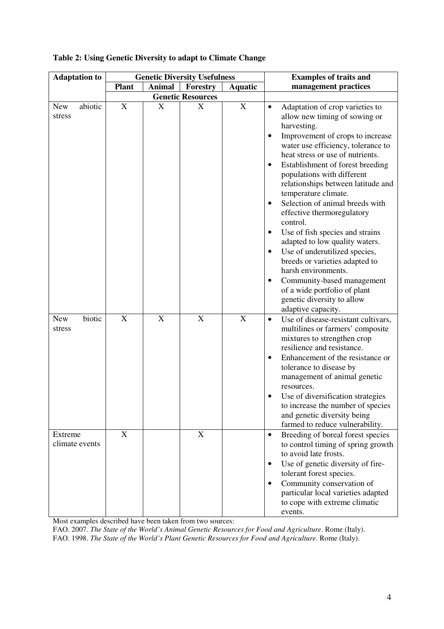| <b>Adaptation to</b>           |              |                           | <b>Genetic Diversity Usefulness</b> | <b>Examples of traits and</b> |                                                                                                                                                                                                                                                                                                                                                                                                                                                                                                                                                                                                                                                                                                                                                           |  |  |  |
|--------------------------------|--------------|---------------------------|-------------------------------------|-------------------------------|-----------------------------------------------------------------------------------------------------------------------------------------------------------------------------------------------------------------------------------------------------------------------------------------------------------------------------------------------------------------------------------------------------------------------------------------------------------------------------------------------------------------------------------------------------------------------------------------------------------------------------------------------------------------------------------------------------------------------------------------------------------|--|--|--|
|                                | <b>Plant</b> | <b>Animal</b>             | Forestry                            | <b>Aquatic</b>                | management practices                                                                                                                                                                                                                                                                                                                                                                                                                                                                                                                                                                                                                                                                                                                                      |  |  |  |
|                                |              |                           | <b>Genetic Resources</b>            |                               |                                                                                                                                                                                                                                                                                                                                                                                                                                                                                                                                                                                                                                                                                                                                                           |  |  |  |
| abiotic<br>New<br>stress       | X            | $\boldsymbol{\mathrm{X}}$ | X                                   | $\mathbf X$                   | Adaptation of crop varieties to<br>$\bullet$<br>allow new timing of sowing or<br>harvesting.<br>Improvement of crops to increase<br>water use efficiency, tolerance to<br>heat stress or use of nutrients.<br>Establishment of forest breeding<br>$\bullet$<br>populations with different<br>relationships between latitude and<br>temperature climate.<br>Selection of animal breeds with<br>$\bullet$<br>effective thermoregulatory<br>control.<br>Use of fish species and strains<br>٠<br>adapted to low quality waters.<br>Use of underutilized species,<br>٠<br>breeds or varieties adapted to<br>harsh environments.<br>Community-based management<br>$\bullet$<br>of a wide portfolio of plant<br>genetic diversity to allow<br>adaptive capacity. |  |  |  |
| biotic<br><b>New</b><br>stress | X            | X                         | X                                   | X                             | Use of disease-resistant cultivars,<br>$\bullet$<br>multilines or farmers' composite<br>mixtures to strengthen crop<br>resilience and resistance.<br>Enhancement of the resistance or<br>$\bullet$<br>tolerance to disease by<br>management of animal genetic<br>resources.<br>Use of diversification strategies<br>to increase the number of species<br>and genetic diversity being<br>farmed to reduce vulnerability.                                                                                                                                                                                                                                                                                                                                   |  |  |  |
| Extreme<br>climate events      | X            |                           | X                                   |                               | Breeding of boreal forest species<br>$\bullet$<br>to control timing of spring growth<br>to avoid late frosts.<br>Use of genetic diversity of fire-<br>$\bullet$<br>tolerant forest species.<br>Community conservation of<br>$\bullet$<br>particular local varieties adapted<br>to cope with extreme climatic<br>events.                                                                                                                                                                                                                                                                                                                                                                                                                                   |  |  |  |

### **Table 2: Using Genetic Diversity to adapt to Climate Change**

Most examples described have been taken from two sources:

FAO. 2007. *The State of the World's Animal Genetic Resources for Food and Agriculture*. Rome (Italy). FAO. 1998. *The State of the World's Plant Genetic Resources for Food and Agriculture*. Rome (Italy).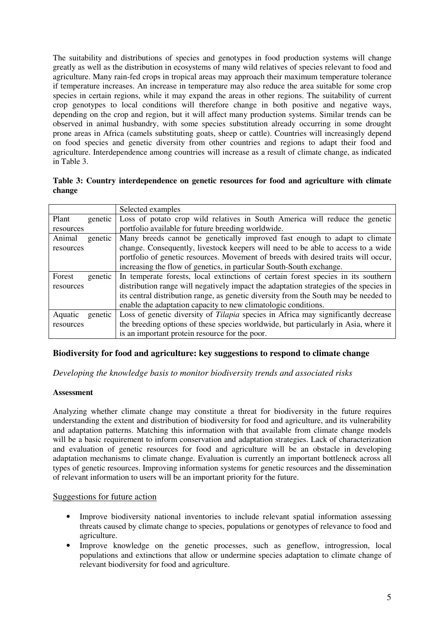The suitability and distributions of species and genotypes in food production systems will change greatly as well as the distribution in ecosystems of many wild relatives of species relevant to food and agriculture. Many rain-fed crops in tropical areas may approach their maximum temperature tolerance if temperature increases. An increase in temperature may also reduce the area suitable for some crop species in certain regions, while it may expand the areas in other regions. The suitability of current crop genotypes to local conditions will therefore change in both positive and negative ways, depending on the crop and region, but it will affect many production systems. Similar trends can be observed in animal husbandry, with some species substitution already occurring in some drought prone areas in Africa (camels substituting goats, sheep or cattle). Countries will increasingly depend on food species and genetic diversity from other countries and regions to adapt their food and agriculture. Interdependence among countries will increase as a result of climate change, as indicated in Table 3.

|        | Table 3: Country interdependence on genetic resources for food and agriculture with climate |  |  |  |  |
|--------|---------------------------------------------------------------------------------------------|--|--|--|--|
| change |                                                                                             |  |  |  |  |

|                    | Selected examples                                                                     |
|--------------------|---------------------------------------------------------------------------------------|
| Plant<br>genetic   | Loss of potato crop wild relatives in South America will reduce the genetic           |
| resources          | portfolio available for future breeding worldwide.                                    |
| Animal<br>genetic  | Many breeds cannot be genetically improved fast enough to adapt to climate            |
| resources          | change. Consequently, livestock keepers will need to be able to access to a wide      |
|                    | portfolio of genetic resources. Movement of breeds with desired traits will occur,    |
|                    | increasing the flow of genetics, in particular South-South exchange.                  |
| Forest<br>genetic  | In temperate forests, local extinctions of certain forest species in its southern     |
| resources          | distribution range will negatively impact the adaptation strategies of the species in |
|                    | its central distribution range, as genetic diversity from the South may be needed to  |
|                    | enable the adaptation capacity to new climatologic conditions.                        |
| Aquatic<br>genetic | Loss of genetic diversity of Tilapia species in Africa may significantly decrease     |
| resources          | the breeding options of these species worldwide, but particularly in Asia, where it   |
|                    | is an important protein resource for the poor.                                        |

# **Biodiversity for food and agriculture: key suggestions to respond to climate change**

*Developing the knowledge basis to monitor biodiversity trends and associated risks* 

# **Assessment**

Analyzing whether climate change may constitute a threat for biodiversity in the future requires understanding the extent and distribution of biodiversity for food and agriculture, and its vulnerability and adaptation patterns. Matching this information with that available from climate change models will be a basic requirement to inform conservation and adaptation strategies. Lack of characterization and evaluation of genetic resources for food and agriculture will be an obstacle in developing adaptation mechanisms to climate change. Evaluation is currently an important bottleneck across all types of genetic resources. Improving information systems for genetic resources and the dissemination of relevant information to users will be an important priority for the future.

# Suggestions for future action

- Improve biodiversity national inventories to include relevant spatial information assessing threats caused by climate change to species, populations or genotypes of relevance to food and agriculture.
- Improve knowledge on the genetic processes, such as geneflow, introgression, local populations and extinctions that allow or undermine species adaptation to climate change of relevant biodiversity for food and agriculture.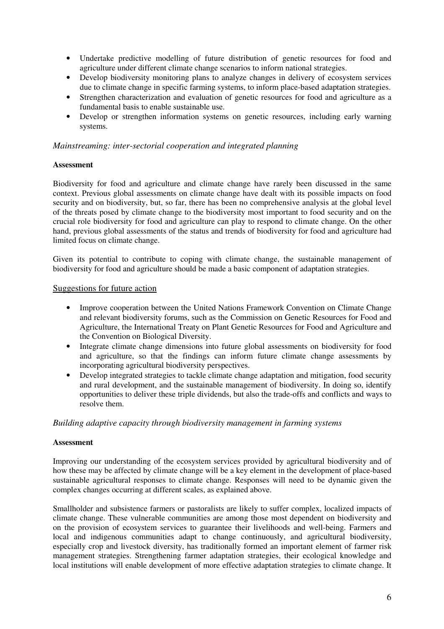- Undertake predictive modelling of future distribution of genetic resources for food and agriculture under different climate change scenarios to inform national strategies.
- Develop biodiversity monitoring plans to analyze changes in delivery of ecosystem services due to climate change in specific farming systems, to inform place-based adaptation strategies.
- Strengthen characterization and evaluation of genetic resources for food and agriculture as a fundamental basis to enable sustainable use.
- Develop or strengthen information systems on genetic resources, including early warning systems.

#### *Mainstreaming: inter-sectorial cooperation and integrated planning*

#### **Assessment**

Biodiversity for food and agriculture and climate change have rarely been discussed in the same context. Previous global assessments on climate change have dealt with its possible impacts on food security and on biodiversity, but, so far, there has been no comprehensive analysis at the global level of the threats posed by climate change to the biodiversity most important to food security and on the crucial role biodiversity for food and agriculture can play to respond to climate change. On the other hand, previous global assessments of the status and trends of biodiversity for food and agriculture had limited focus on climate change.

Given its potential to contribute to coping with climate change, the sustainable management of biodiversity for food and agriculture should be made a basic component of adaptation strategies.

#### Suggestions for future action

- Improve cooperation between the United Nations Framework Convention on Climate Change and relevant biodiversity forums, such as the Commission on Genetic Resources for Food and Agriculture, the International Treaty on Plant Genetic Resources for Food and Agriculture and the Convention on Biological Diversity.
- Integrate climate change dimensions into future global assessments on biodiversity for food and agriculture, so that the findings can inform future climate change assessments by incorporating agricultural biodiversity perspectives.
- Develop integrated strategies to tackle climate change adaptation and mitigation, food security and rural development, and the sustainable management of biodiversity. In doing so, identify opportunities to deliver these triple dividends, but also the trade-offs and conflicts and ways to resolve them.

#### *Building adaptive capacity through biodiversity management in farming systems*

#### **Assessment**

Improving our understanding of the ecosystem services provided by agricultural biodiversity and of how these may be affected by climate change will be a key element in the development of place-based sustainable agricultural responses to climate change. Responses will need to be dynamic given the complex changes occurring at different scales, as explained above.

Smallholder and subsistence farmers or pastoralists are likely to suffer complex, localized impacts of climate change. These vulnerable communities are among those most dependent on biodiversity and on the provision of ecosystem services to guarantee their livelihoods and well-being. Farmers and local and indigenous communities adapt to change continuously, and agricultural biodiversity, especially crop and livestock diversity, has traditionally formed an important element of farmer risk management strategies. Strengthening farmer adaptation strategies, their ecological knowledge and local institutions will enable development of more effective adaptation strategies to climate change. It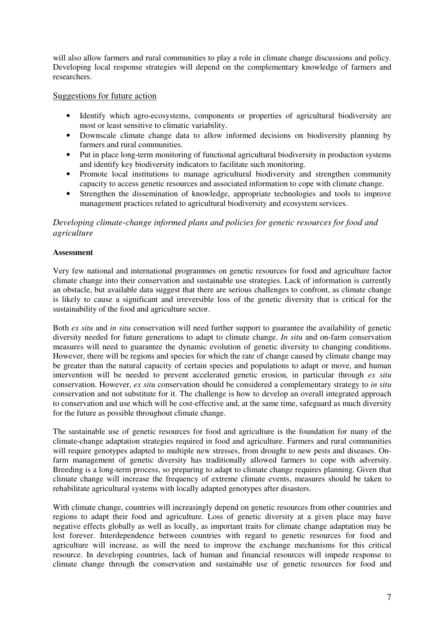will also allow farmers and rural communities to play a role in climate change discussions and policy. Developing local response strategies will depend on the complementary knowledge of farmers and researchers.

### Suggestions for future action

- Identify which agro-ecosystems, components or properties of agricultural biodiversity are most or least sensitive to climatic variability.
- Downscale climate change data to allow informed decisions on biodiversity planning by farmers and rural communities.
- Put in place long-term monitoring of functional agricultural biodiversity in production systems and identify key biodiversity indicators to facilitate such monitoring.
- Promote local institutions to manage agricultural biodiversity and strengthen community capacity to access genetic resources and associated information to cope with climate change.
- Strengthen the dissemination of knowledge, appropriate technologies and tools to improve management practices related to agricultural biodiversity and ecosystem services.

# *Developing climate-change informed plans and policies for genetic resources for food and agriculture*

#### **Assessment**

Very few national and international programmes on genetic resources for food and agriculture factor climate change into their conservation and sustainable use strategies. Lack of information is currently an obstacle, but available data suggest that there are serious challenges to confront, as climate change is likely to cause a significant and irreversible loss of the genetic diversity that is critical for the sustainability of the food and agriculture sector.

Both *ex situ* and *in situ* conservation will need further support to guarantee the availability of genetic diversity needed for future generations to adapt to climate change. *In situ* and on-farm conservation measures will need to guarantee the dynamic evolution of genetic diversity to changing conditions. However, there will be regions and species for which the rate of change caused by climate change may be greater than the natural capacity of certain species and populations to adapt or move, and human intervention will be needed to prevent accelerated genetic erosion, in particular through *ex situ* conservation. However, *ex situ* conservation should be considered a complementary strategy to *in situ* conservation and not substitute for it. The challenge is how to develop an overall integrated approach to conservation and use which will be cost-effective and, at the same time, safeguard as much diversity for the future as possible throughout climate change.

The sustainable use of genetic resources for food and agriculture is the foundation for many of the climate-change adaptation strategies required in food and agriculture. Farmers and rural communities will require genotypes adapted to multiple new stresses, from drought to new pests and diseases. Onfarm management of genetic diversity has traditionally allowed farmers to cope with adversity. Breeding is a long-term process, so preparing to adapt to climate change requires planning. Given that climate change will increase the frequency of extreme climate events, measures should be taken to rehabilitate agricultural systems with locally adapted genotypes after disasters.

With climate change, countries will increasingly depend on genetic resources from other countries and regions to adapt their food and agriculture. Loss of genetic diversity at a given place may have negative effects globally as well as locally, as important traits for climate change adaptation may be lost forever. Interdependence between countries with regard to genetic resources for food and agriculture will increase, as will the need to improve the exchange mechanisms for this critical resource. In developing countries, lack of human and financial resources will impede response to climate change through the conservation and sustainable use of genetic resources for food and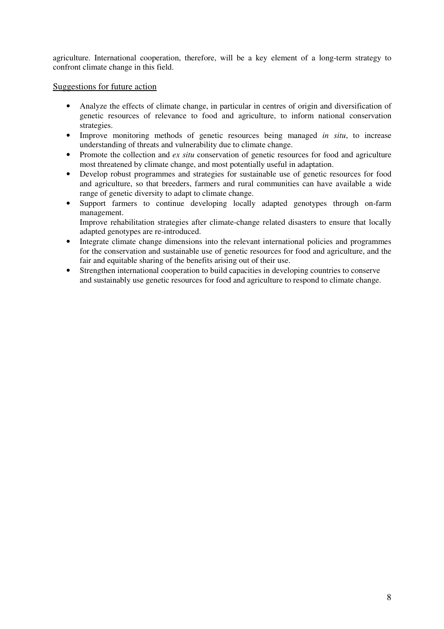agriculture. International cooperation, therefore, will be a key element of a long-term strategy to confront climate change in this field.

### Suggestions for future action

- Analyze the effects of climate change, in particular in centres of origin and diversification of genetic resources of relevance to food and agriculture, to inform national conservation strategies.
- Improve monitoring methods of genetic resources being managed *in situ*, to increase understanding of threats and vulnerability due to climate change.
- Promote the collection and *ex situ* conservation of genetic resources for food and agriculture most threatened by climate change, and most potentially useful in adaptation.
- Develop robust programmes and strategies for sustainable use of genetic resources for food and agriculture, so that breeders, farmers and rural communities can have available a wide range of genetic diversity to adapt to climate change.
- Support farmers to continue developing locally adapted genotypes through on-farm management. Improve rehabilitation strategies after climate-change related disasters to ensure that locally
- adapted genotypes are re-introduced. • Integrate climate change dimensions into the relevant international policies and programmes for the conservation and sustainable use of genetic resources for food and agriculture, and the fair and equitable sharing of the benefits arising out of their use.
- Strengthen international cooperation to build capacities in developing countries to conserve and sustainably use genetic resources for food and agriculture to respond to climate change.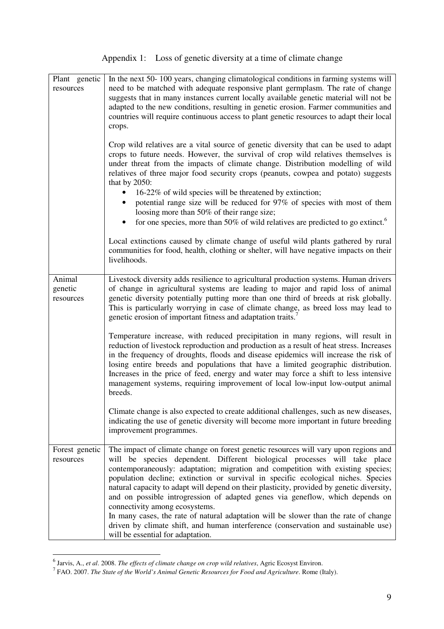Appendix 1: Loss of genetic diversity at a time of climate change

| Plant genetic<br>resources     | In the next 50-100 years, changing climatological conditions in farming systems will<br>need to be matched with adequate responsive plant germplasm. The rate of change<br>suggests that in many instances current locally available genetic material will not be<br>adapted to the new conditions, resulting in genetic erosion. Farmer communities and<br>countries will require continuous access to plant genetic resources to adapt their local<br>crops.<br>Crop wild relatives are a vital source of genetic diversity that can be used to adapt<br>crops to future needs. However, the survival of crop wild relatives themselves is<br>under threat from the impacts of climate change. Distribution modelling of wild<br>relatives of three major food security crops (peanuts, cowpea and potato) suggests<br>that by 2050:<br>16-22% of wild species will be threatened by extinction;<br>potential range size will be reduced for 97% of species with most of them<br>loosing more than 50% of their range size;<br>for one species, more than 50% of wild relatives are predicted to go extinct. <sup>6</sup><br>$\bullet$<br>Local extinctions caused by climate change of useful wild plants gathered by rural<br>communities for food, health, clothing or shelter, will have negative impacts on their<br>livelihoods. |
|--------------------------------|------------------------------------------------------------------------------------------------------------------------------------------------------------------------------------------------------------------------------------------------------------------------------------------------------------------------------------------------------------------------------------------------------------------------------------------------------------------------------------------------------------------------------------------------------------------------------------------------------------------------------------------------------------------------------------------------------------------------------------------------------------------------------------------------------------------------------------------------------------------------------------------------------------------------------------------------------------------------------------------------------------------------------------------------------------------------------------------------------------------------------------------------------------------------------------------------------------------------------------------------------------------------------------------------------------------------------------------|
| Animal<br>genetic<br>resources | Livestock diversity adds resilience to agricultural production systems. Human drivers<br>of change in agricultural systems are leading to major and rapid loss of animal<br>genetic diversity potentially putting more than one third of breeds at risk globally.<br>This is particularly worrying in case of climate change, as breed loss may lead to<br>genetic erosion of important fitness and adaptation traits.'<br>Temperature increase, with reduced precipitation in many regions, will result in<br>reduction of livestock reproduction and production as a result of heat stress. Increases<br>in the frequency of droughts, floods and disease epidemics will increase the risk of<br>losing entire breeds and populations that have a limited geographic distribution.<br>Increases in the price of feed, energy and water may force a shift to less intensive<br>management systems, requiring improvement of local low-input low-output animal                                                                                                                                                                                                                                                                                                                                                                           |
|                                | breeds.<br>Climate change is also expected to create additional challenges, such as new diseases,<br>indicating the use of genetic diversity will become more important in future breeding<br>improvement programmes.                                                                                                                                                                                                                                                                                                                                                                                                                                                                                                                                                                                                                                                                                                                                                                                                                                                                                                                                                                                                                                                                                                                    |
| Forest genetic<br>resources    | The impact of climate change on forest genetic resources will vary upon regions and<br>will be species dependent. Different biological processes will take place<br>contemporaneously: adaptation; migration and competition with existing species;<br>population decline; extinction or survival in specific ecological niches. Species<br>natural capacity to adapt will depend on their plasticity, provided by genetic diversity,<br>and on possible introgression of adapted genes via geneflow, which depends on<br>connectivity among ecosystems.<br>In many cases, the rate of natural adaptation will be slower than the rate of change<br>driven by climate shift, and human interference (conservation and sustainable use)<br>will be essential for adaptation.                                                                                                                                                                                                                                                                                                                                                                                                                                                                                                                                                              |

<sup>&</sup>lt;sup>6</sup> Jarvis, A., *et al. 2008. The effects of climate change on crop wild relatives*, Agric Ecosyst Environ.<br><sup>7</sup> FAO. 2007. *The State of the World's Animal Genetic Resources for Food and Agriculture. Rome (Italy).*